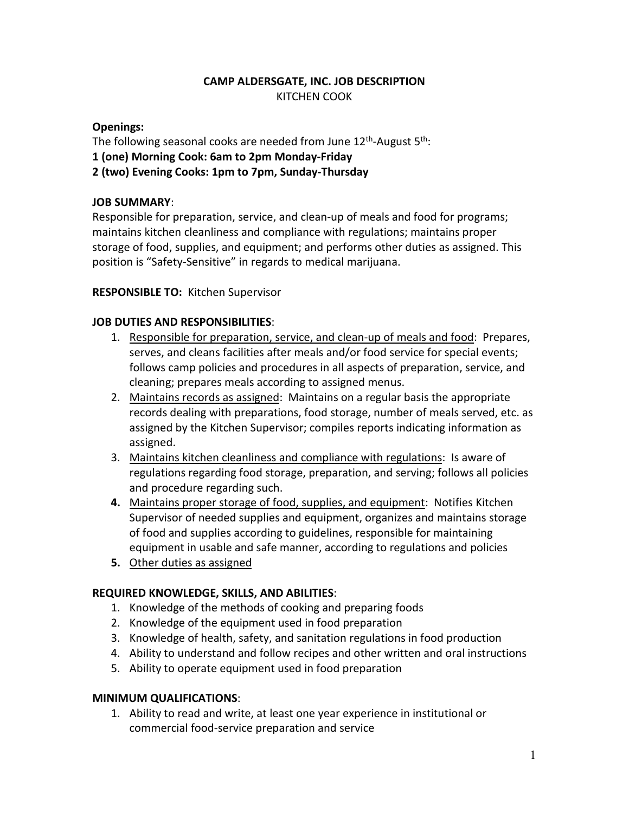# **CAMP ALDERSGATE, INC. JOB DESCRIPTION** KITCHEN COOK

### **Openings:**

The following seasonal cooks are needed from June  $12<sup>th</sup>$ -August  $5<sup>th</sup>$ :

**1 (one) Morning Cook: 6am to 2pm Monday-Friday**

**2 (two) Evening Cooks: 1pm to 7pm, Sunday-Thursday**

# **JOB SUMMARY**:

Responsible for preparation, service, and clean-up of meals and food for programs; maintains kitchen cleanliness and compliance with regulations; maintains proper storage of food, supplies, and equipment; and performs other duties as assigned. This position is "Safety-Sensitive" in regards to medical marijuana.

#### **RESPONSIBLE TO:** Kitchen Supervisor

# **JOB DUTIES AND RESPONSIBILITIES**:

- 1. Responsible for preparation, service, and clean-up of meals and food: Prepares, serves, and cleans facilities after meals and/or food service for special events; follows camp policies and procedures in all aspects of preparation, service, and cleaning; prepares meals according to assigned menus.
- 2. Maintains records as assigned: Maintains on a regular basis the appropriate records dealing with preparations, food storage, number of meals served, etc. as assigned by the Kitchen Supervisor; compiles reports indicating information as assigned.
- 3. Maintains kitchen cleanliness and compliance with regulations: Is aware of regulations regarding food storage, preparation, and serving; follows all policies and procedure regarding such.
- **4.** Maintains proper storage of food, supplies, and equipment: Notifies Kitchen Supervisor of needed supplies and equipment, organizes and maintains storage of food and supplies according to guidelines, responsible for maintaining equipment in usable and safe manner, according to regulations and policies
- **5.** Other duties as assigned

#### **REQUIRED KNOWLEDGE, SKILLS, AND ABILITIES**:

- 1. Knowledge of the methods of cooking and preparing foods
- 2. Knowledge of the equipment used in food preparation
- 3. Knowledge of health, safety, and sanitation regulations in food production
- 4. Ability to understand and follow recipes and other written and oral instructions
- 5. Ability to operate equipment used in food preparation

#### **MINIMUM QUALIFICATIONS**:

1. Ability to read and write, at least one year experience in institutional or commercial food-service preparation and service